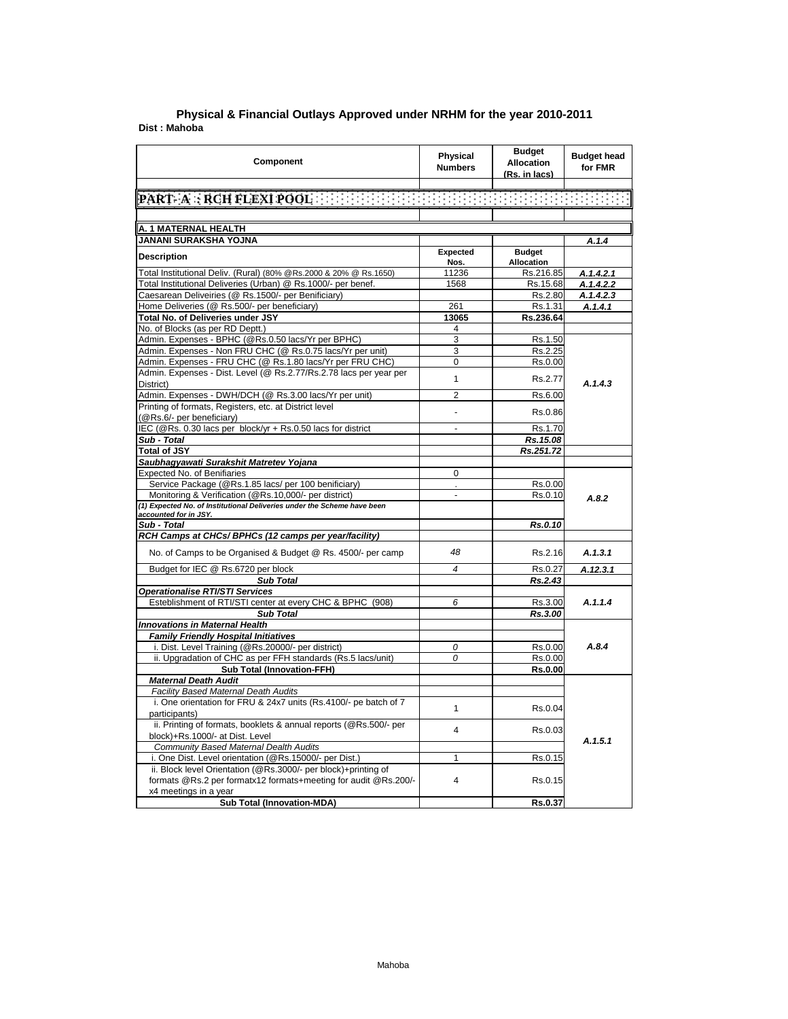| Component                                                                                  | Physical<br><b>Numbers</b> | <b>Budget</b><br><b>Allocation</b><br>(Rs. in lacs) | <b>Budget head</b><br>for FMR |
|--------------------------------------------------------------------------------------------|----------------------------|-----------------------------------------------------|-------------------------------|
|                                                                                            |                            |                                                     |                               |
| PART A : RCH FLEXI POOL AND RESERVED BENEFIT AND RESERVED                                  |                            |                                                     |                               |
|                                                                                            |                            |                                                     |                               |
| A. 1 MATERNAL HEALTH                                                                       |                            |                                                     |                               |
| JANANI SURAKSHA YOJNA                                                                      |                            |                                                     | A.1.4                         |
| <b>Description</b>                                                                         | Expected<br>Nos.           | <b>Budget</b><br>Allocation                         |                               |
| Total Institutional Deliv. (Rural) (80% @Rs.2000 & 20% @ Rs.1650)                          | 11236                      | Rs.216.85                                           | A.1.4.2.1                     |
| Total Institutional Deliveries (Urban) @ Rs.1000/- per benef.                              | 1568                       | Rs.15.68                                            | A.1.4.2.2                     |
| Caesarean Deliveiries (@ Rs.1500/- per Benificiary)                                        |                            | Rs.2.80                                             | A.1.4.2.3                     |
| Home Deliveries (@ Rs.500/- per beneficiary)                                               | 261                        | Rs.1.31                                             | A.1.4.1                       |
| Total No. of Deliveries under JSY                                                          | 13065                      | Rs.236.64                                           |                               |
| No. of Blocks (as per RD Deptt.)                                                           | 4                          |                                                     |                               |
| Admin. Expenses - BPHC (@Rs.0.50 lacs/Yr per BPHC)                                         | 3                          | Rs.1.50                                             |                               |
| Admin. Expenses - Non FRU CHC (@ Rs.0.75 lacs/Yr per unit)                                 | 3                          | Rs.2.25                                             |                               |
| Admin. Expenses - FRU CHC (@ Rs.1.80 lacs/Yr per FRU CHC)                                  | $\mathbf 0$                | Rs.0.00                                             |                               |
| Admin. Expenses - Dist. Level (@ Rs.2.77/Rs.2.78 lacs per year per<br>District)            | $\mathbf{1}$               | Rs.2.77                                             | A.1.4.3                       |
| Admin. Expenses - DWH/DCH (@ Rs.3.00 lacs/Yr per unit)                                     | $\overline{2}$             | Rs.6.00                                             |                               |
| Printing of formats, Registers, etc. at District level                                     | ä,                         | Rs.0.86                                             |                               |
| (@Rs.6/- per beneficiary)                                                                  |                            |                                                     |                               |
| IEC (@Rs. 0.30 lacs per block/yr + Rs.0.50 lacs for district                               | L                          | Rs.1.70                                             |                               |
| Sub - Total                                                                                |                            | Rs.15.08                                            |                               |
| <b>Total of JSY</b>                                                                        |                            | Rs.251.72                                           |                               |
| Saubhagyawati Surakshit Matretev Yojana                                                    |                            |                                                     |                               |
| <b>Expected No. of Benifiaries</b><br>Service Package (@Rs.1.85 lacs/ per 100 benificiary) | $\mathbf 0$                |                                                     |                               |
| Monitoring & Verification (@Rs.10,000/- per district)                                      | $\overline{a}$             | Rs.0.00<br>Rs.0.10                                  |                               |
| (1) Expected No. of Institutional Deliveries under the Scheme have been                    |                            |                                                     | A.8.2                         |
| accounted for in JSY.                                                                      |                            |                                                     |                               |
| Sub - Total                                                                                |                            | Rs.0.10                                             |                               |
| RCH Camps at CHCs/ BPHCs (12 camps per year/facility)                                      |                            |                                                     |                               |
| No. of Camps to be Organised & Budget @ Rs. 4500/- per camp                                | 48                         | Rs.2.16                                             | A.1.3.1                       |
| Budget for IEC @ Rs.6720 per block                                                         | $\overline{\bf 4}$         | Rs.0.27                                             | A.12.3.1                      |
| <b>Sub Total</b>                                                                           |                            | Rs.2.43                                             |                               |
| <b>Operationalise RTI/STI Services</b>                                                     |                            |                                                     |                               |
| Esteblishment of RTI/STI center at every CHC & BPHC (908)                                  | 6                          | Rs.3.00                                             | A.1.1.4                       |
| <b>Sub Total</b>                                                                           |                            | Rs.3.00                                             |                               |
| <b>Innovations in Maternal Health</b>                                                      |                            |                                                     |                               |
| <b>Family Friendly Hospital Initiatives</b>                                                |                            |                                                     |                               |
| i. Dist. Level Training (@Rs.20000/- per district)                                         | 0                          | Rs.0.00                                             | A.8.4                         |
| ii. Upgradation of CHC as per FFH standards (Rs.5 lacs/unit)                               | 0                          | Rs.0.00                                             |                               |
| <b>Sub Total (Innovation-FFH)</b><br><b>Maternal Death Audit</b>                           |                            | Rs.0.00                                             |                               |
| Facility Based Maternal Death Audits                                                       |                            |                                                     |                               |
| i. One orientation for FRU & 24x7 units (Rs.4100/- pe batch of 7                           |                            |                                                     |                               |
| participants)                                                                              | $\mathbf{1}$               | Rs.0.04                                             |                               |
| ii. Printing of formats, booklets & annual reports (@Rs.500/- per                          |                            |                                                     |                               |
| block)+Rs.1000/- at Dist. Level                                                            | $\overline{4}$             | Rs.0.03                                             |                               |
| Community Based Maternal Dealth Audits                                                     |                            |                                                     | A.1.5.1                       |
| i. One Dist. Level orientation (@Rs.15000/- per Dist.)                                     | 1                          | Rs.0.15                                             |                               |
| ii. Block level Orientation (@Rs.3000/- per block)+printing of                             |                            |                                                     |                               |
| formats @Rs.2 per formatx12 formats+meeting for audit @Rs.200/-                            | $\overline{4}$             | Rs.0.15                                             |                               |
| x4 meetings in a year                                                                      |                            |                                                     |                               |
| <b>Sub Total (Innovation-MDA)</b>                                                          |                            | Rs.0.37                                             |                               |

## **Dist : Mahoba District : Agra Physical & Financial Outlays Approved under NRHM for the year 2010-2011**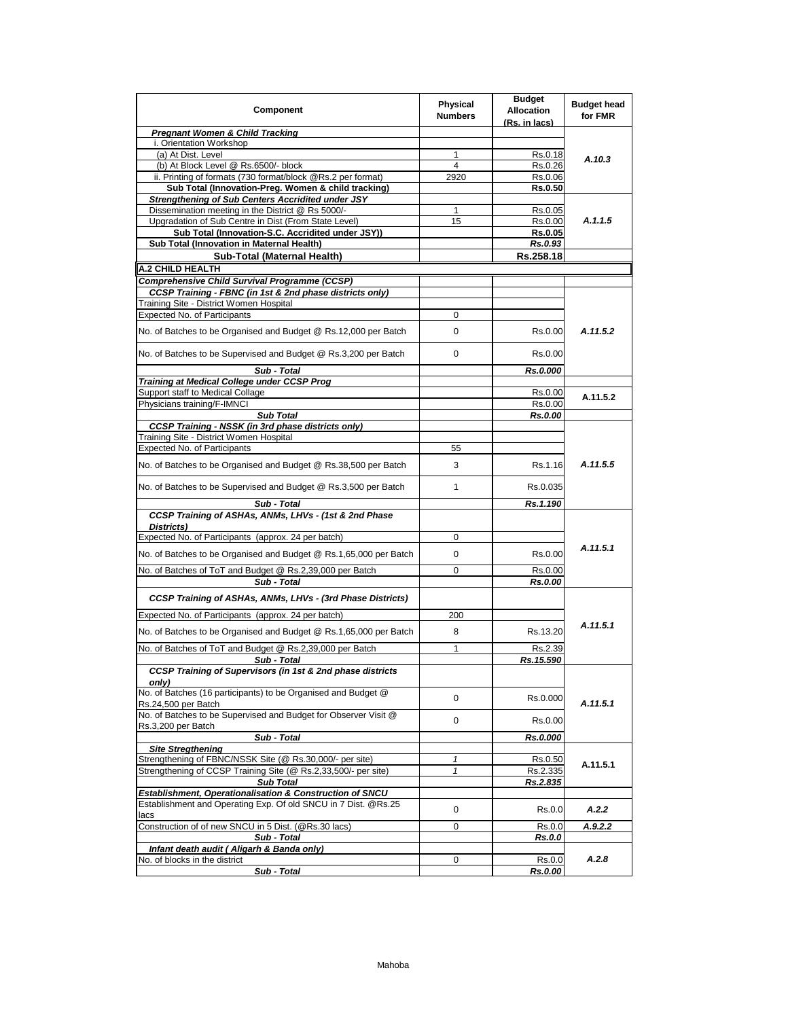| Component                                                                              | <b>Physical</b><br><b>Numbers</b> | <b>Budget</b><br><b>Allocation</b><br>(Rs. in lacs) | <b>Budget head</b><br>for FMR |
|----------------------------------------------------------------------------------------|-----------------------------------|-----------------------------------------------------|-------------------------------|
| <b>Pregnant Women &amp; Child Tracking</b>                                             |                                   |                                                     |                               |
| i. Orientation Workshop                                                                |                                   |                                                     |                               |
| (a) At Dist. Level                                                                     | 1                                 | Rs.0.18                                             | A.10.3                        |
| (b) At Block Level @ Rs.6500/- block                                                   | 4                                 | Rs.0.26                                             |                               |
| ii. Printing of formats (730 format/block @Rs.2 per format)                            | 2920                              | Rs.0.06                                             |                               |
| Sub Total (Innovation-Preg. Women & child tracking)                                    |                                   | <b>Rs.0.50</b>                                      |                               |
| Strengthening of Sub Centers Accridited under JSY                                      |                                   |                                                     |                               |
| Dissemination meeting in the District @ Rs 5000/-                                      | 1                                 | Rs.0.05                                             |                               |
| Upgradation of Sub Centre in Dist (From State Level)                                   | 15                                | Rs.0.00                                             | A.1.1.5                       |
| Sub Total (Innovation-S.C. Accridited under JSY))                                      |                                   | <b>Rs.0.05</b>                                      |                               |
| Sub Total (Innovation in Maternal Health)                                              |                                   | Rs.0.93                                             |                               |
| Sub-Total (Maternal Health)                                                            |                                   | Rs.258.18                                           |                               |
| <b>A.2 CHILD HEALTH</b>                                                                |                                   |                                                     |                               |
| <b>Comprehensive Child Survival Programme (CCSP)</b>                                   |                                   |                                                     |                               |
| CCSP Training - FBNC (in 1st & 2nd phase districts only)                               |                                   |                                                     |                               |
| Training Site - District Women Hospital                                                |                                   |                                                     |                               |
| <b>Expected No. of Participants</b>                                                    | 0                                 |                                                     |                               |
|                                                                                        |                                   |                                                     |                               |
| No. of Batches to be Organised and Budget @ Rs.12,000 per Batch                        | 0                                 | Rs.0.00                                             | A.11.5.2                      |
| No. of Batches to be Supervised and Budget @ Rs.3,200 per Batch                        | 0                                 | Rs.0.00                                             |                               |
| Sub - Total                                                                            |                                   | Rs.0.000                                            |                               |
| <b>Training at Medical College under CCSP Prog</b>                                     |                                   |                                                     |                               |
| Support staff to Medical Collage                                                       |                                   | Rs.0.00                                             | A.11.5.2                      |
| Physicians training/F-IMNCI                                                            |                                   | Rs.0.00                                             |                               |
| <b>Sub Total</b>                                                                       |                                   | Rs.0.00                                             |                               |
| <b>CCSP Training - NSSK (in 3rd phase districts only)</b>                              |                                   |                                                     |                               |
| Training Site - District Women Hospital                                                |                                   |                                                     |                               |
| Expected No. of Participants                                                           | 55                                |                                                     |                               |
| No. of Batches to be Organised and Budget @ Rs.38,500 per Batch                        | 3                                 | Rs.1.16                                             | A.11.5.5                      |
| No. of Batches to be Supervised and Budget @ Rs.3,500 per Batch                        | $\mathbf{1}$                      | Rs.0.035                                            |                               |
| Sub - Total                                                                            |                                   | Rs.1.190                                            |                               |
| CCSP Training of ASHAs, ANMs, LHVs - (1st & 2nd Phase                                  |                                   |                                                     |                               |
| Districts)                                                                             |                                   |                                                     |                               |
| Expected No. of Participants (approx. 24 per batch)                                    | 0                                 |                                                     |                               |
| No. of Batches to be Organised and Budget @ Rs.1,65,000 per Batch                      | 0                                 | Rs.0.00                                             | A.11.5.1                      |
| No. of Batches of ToT and Budget @ Rs.2,39,000 per Batch                               | $\mathbf 0$                       | Rs.0.00                                             |                               |
| Sub - Total                                                                            |                                   | <b>Rs.0.00</b>                                      |                               |
| CCSP Training of ASHAs, ANMs, LHVs - (3rd Phase Districts)                             |                                   |                                                     |                               |
| Expected No. of Participants (approx. 24 per batch)                                    | 200                               |                                                     | A.11.5.1                      |
| No. of Batches to be Organised and Budget @ Rs.1,65,000 per Batch                      | 8                                 | Rs.13.20                                            |                               |
| No. of Batches of ToT and Budget @ Rs.2,39,000 per Batch                               | $\mathbf{1}$                      | Rs.2.39                                             |                               |
| Sub - Total<br><b>CCSP Training of Supervisors (in 1st &amp; 2nd phase districts</b>   |                                   | Rs.15.590                                           |                               |
| only)<br>No. of Batches (16 participants) to be Organised and Budget @                 |                                   |                                                     |                               |
| Rs.24,500 per Batch<br>No. of Batches to be Supervised and Budget for Observer Visit @ | 0                                 | Rs.0.000                                            | A.11.5.1                      |
| Rs.3.200 per Batch                                                                     | 0                                 | Rs.0.00                                             |                               |
| Sub - Total                                                                            |                                   | Rs.0.000                                            |                               |
| <b>Site Stregthening</b>                                                               |                                   |                                                     |                               |
| Strengthening of FBNC/NSSK Site (@ Rs.30,000/- per site)                               | 1                                 | Rs.0.50                                             | A.11.5.1                      |
| Strengthening of CCSP Training Site (@ Rs.2,33,500/- per site)                         | 1                                 | Rs.2.335                                            |                               |
| <b>Sub Total</b>                                                                       |                                   | Rs.2.835                                            |                               |
| Establishment, Operationalisation & Construction of SNCU                               |                                   |                                                     |                               |
|                                                                                        |                                   |                                                     |                               |
| lacs                                                                                   | 0                                 | Rs.0.0                                              | A.2.2                         |
| Construction of of new SNCU in 5 Dist. (@Rs.30 lacs)                                   | 0                                 | Rs.0.0                                              | A.9.2.2                       |
| Establishment and Operating Exp. Of old SNCU in 7 Dist. @Rs.25<br>Sub - Total          |                                   | Rs.0.0                                              |                               |
| Infant death audit (Aligarh & Banda only)                                              |                                   |                                                     |                               |
| No. of blocks in the district<br>Sub - Total                                           | 0                                 | Rs.0.0<br><b>Rs.0.00</b>                            | A.2.8                         |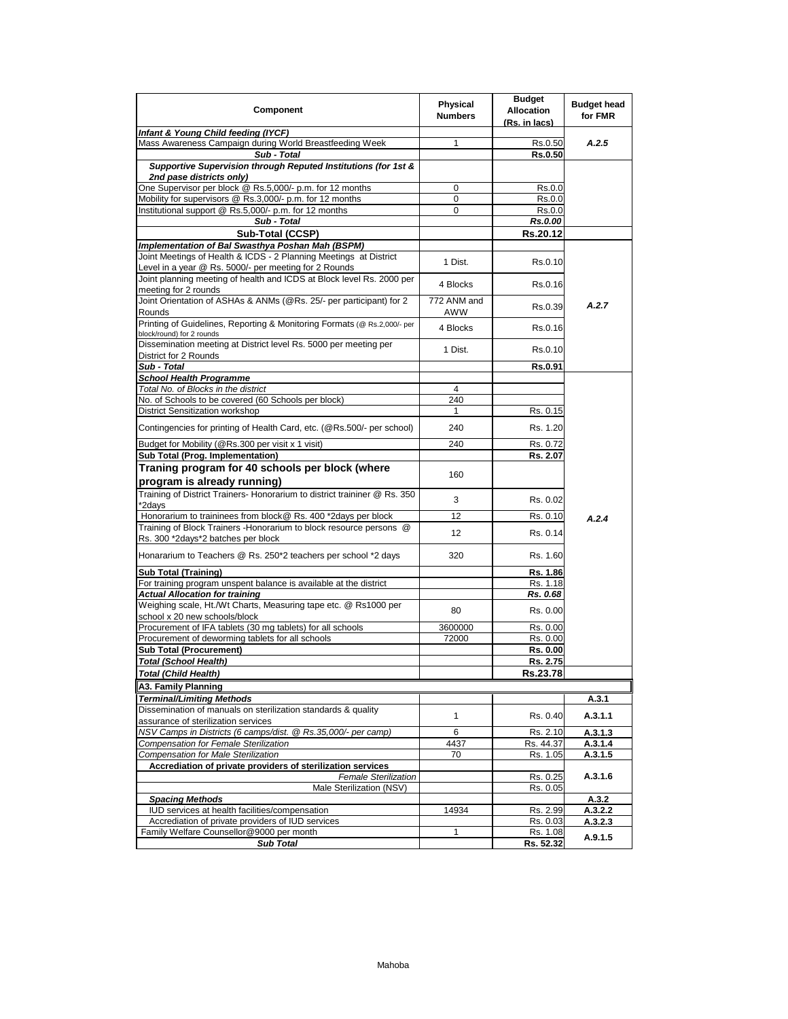| Component                                                                                                | Physical       | <b>Budget</b><br><b>Allocation</b> | <b>Budget head</b> |
|----------------------------------------------------------------------------------------------------------|----------------|------------------------------------|--------------------|
|                                                                                                          | <b>Numbers</b> | (Rs. in lacs)                      | for FMR            |
| Infant & Young Child feeding (IYCF)                                                                      |                |                                    |                    |
| Mass Awareness Campaign during World Breastfeeding Week                                                  | 1              | Rs.0.50                            | A.2.5              |
| Sub - Total                                                                                              |                | Rs.0.50                            |                    |
| Supportive Supervision through Reputed Institutions (for 1st &                                           |                |                                    |                    |
| 2nd pase districts only)<br>One Supervisor per block @ Rs.5,000/- p.m. for 12 months                     | 0              | Rs.0.0                             |                    |
| Mobility for supervisors @ Rs.3,000/- p.m. for 12 months                                                 | 0              | Rs.0.0                             |                    |
| Institutional support @ Rs.5,000/- p.m. for 12 months                                                    | 0              | Rs.0.0                             |                    |
| Sub - Total                                                                                              |                | Rs.0.00                            |                    |
| Sub-Total (CCSP)                                                                                         |                | Rs.20.12                           |                    |
| Implementation of Bal Swasthya Poshan Mah (BSPM)                                                         |                |                                    |                    |
| Joint Meetings of Health & ICDS - 2 Planning Meetings at District                                        |                |                                    |                    |
| Level in a year @ Rs. 5000/- per meeting for 2 Rounds                                                    | 1 Dist.        | Rs.0.10                            |                    |
| Joint planning meeting of health and ICDS at Block level Rs. 2000 per                                    | 4 Blocks       | Rs.0.16                            |                    |
| meeting for 2 rounds                                                                                     |                |                                    |                    |
| Joint Orientation of ASHAs & ANMs (@Rs. 25/- per participant) for 2                                      | 772 ANM and    | Rs.0.39                            | A.2.7              |
| Rounds                                                                                                   | <b>AWW</b>     |                                    |                    |
| Printing of Guidelines, Reporting & Monitoring Formats (@ Rs.2,000/- per                                 | 4 Blocks       | Rs.0.16                            |                    |
| block/round) for 2 rounds                                                                                |                |                                    |                    |
| Dissemination meeting at District level Rs. 5000 per meeting per<br>District for 2 Rounds                | 1 Dist.        | Rs.0.10                            |                    |
| Sub - Total                                                                                              |                | Rs.0.91                            |                    |
| <b>School Health Programme</b>                                                                           |                |                                    |                    |
| Total No. of Blocks in the district                                                                      | 4              |                                    |                    |
| No. of Schools to be covered (60 Schools per block)                                                      | 240            |                                    |                    |
| District Sensitization workshop                                                                          | 1              | Rs. 0.15                           |                    |
|                                                                                                          |                |                                    |                    |
| Contingencies for printing of Health Card, etc. (@Rs.500/- per school)                                   | 240            | Rs. 1.20                           |                    |
| Budget for Mobility (@Rs.300 per visit x 1 visit)                                                        | 240            | Rs. 0.72                           |                    |
| Sub Total (Prog. Implementation)                                                                         |                | Rs. 2.07                           |                    |
| Traning program for 40 schools per block (where                                                          |                |                                    |                    |
| program is already running)                                                                              | 160            |                                    |                    |
| Training of District Trainers- Honorarium to district traininer @ Rs. 350                                |                |                                    |                    |
| *2days                                                                                                   | 3              | Rs. 0.02                           |                    |
| Honorarium to traininees from block@ Rs. 400 *2days per block                                            | 12             | Rs. 0.10                           | A.2.4              |
| Training of Block Trainers - Honorarium to block resource persons @                                      | 12             | Rs. 0.14                           |                    |
| Rs. 300 *2days*2 batches per block                                                                       |                |                                    |                    |
| Honararium to Teachers @ Rs. 250*2 teachers per school *2 days                                           | 320            | Rs. 1.60                           |                    |
|                                                                                                          |                |                                    |                    |
| <b>Sub Total (Training)</b>                                                                              |                | Rs. 1.86                           |                    |
| For training program unspent balance is available at the district                                        |                | Rs. 1.18                           |                    |
| <b>Actual Allocation for training</b><br>Weighing scale, Ht./Wt Charts, Measuring tape etc. @ Rs1000 per |                | Rs. 0.68                           |                    |
| school x 20 new schools/block                                                                            | 80             | Rs. 0.00                           |                    |
| Procurement of IFA tablets (30 mg tablets) for all schools                                               | 3600000        | Rs. 0.00                           |                    |
| Procurement of deworming tablets for all schools                                                         | 72000          | Rs. 0.00                           |                    |
| <b>Sub Total (Procurement)</b>                                                                           |                | Rs. 0.00                           |                    |
| Total (School Health)                                                                                    |                | Rs. 2.75                           |                    |
| <b>Total (Child Health)</b>                                                                              |                | Rs.23.78                           |                    |
| A3. Family Planning                                                                                      |                |                                    |                    |
| <b>Terminal/Limiting Methods</b>                                                                         |                |                                    | A.3.1              |
| Dissemination of manuals on sterilization standards & quality                                            |                |                                    |                    |
| assurance of sterilization services                                                                      | $\mathbf{1}$   | Rs. 0.40                           | A.3.1.1            |
| NSV Camps in Districts (6 camps/dist. @ Rs.35,000/- per camp)                                            | 6              | Rs. 2.10                           | A.3.1.3            |
| Compensation for Female Sterilization                                                                    | 4437           | Rs. 44.37                          | A.3.1.4            |
| Compensation for Male Sterilization                                                                      | 70             | Rs. 1.05                           | A.3.1.5            |
| Accrediation of private providers of sterilization services                                              |                |                                    |                    |
| <b>Female Sterilization</b>                                                                              |                | Rs. 0.25                           | A.3.1.6            |
| Male Sterilization (NSV)                                                                                 |                | Rs. 0.05                           |                    |
| <b>Spacing Methods</b>                                                                                   |                |                                    | A.3.2              |
| IUD services at health facilities/compensation                                                           | 14934          | Rs. 2.99                           | A.3.2.2            |
| Accrediation of private providers of IUD services<br>Family Welfare Counsellor@9000 per month            |                | Rs. 0.03                           | A.3.2.3            |
| <b>Sub Total</b>                                                                                         | 1              | Rs. 1.08<br>Rs. 52.32              | A.9.1.5            |
|                                                                                                          |                |                                    |                    |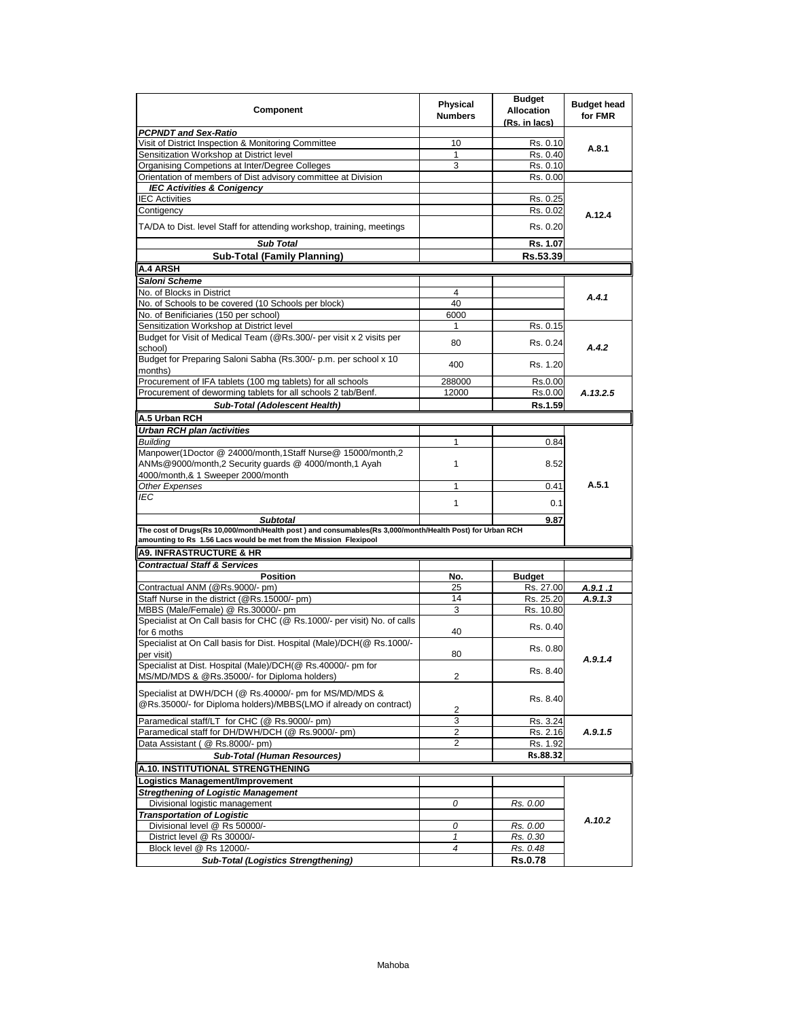| Component                                                                                                                                                                     | <b>Physical</b><br><b>Numbers</b> | <b>Budget</b><br><b>Allocation</b><br>(Rs. in lacs) | <b>Budget head</b><br>for FMR |  |
|-------------------------------------------------------------------------------------------------------------------------------------------------------------------------------|-----------------------------------|-----------------------------------------------------|-------------------------------|--|
| <b>PCPNDT and Sex-Ratio</b>                                                                                                                                                   |                                   |                                                     |                               |  |
| Visit of District Inspection & Monitoring Committee                                                                                                                           | 10                                | Rs. 0.10                                            |                               |  |
| Sensitization Workshop at District level                                                                                                                                      | 1                                 | Rs. 0.40                                            | A.8.1                         |  |
| Organising Competions at Inter/Degree Colleges                                                                                                                                | 3                                 | Rs. 0.10                                            |                               |  |
| Orientation of members of Dist advisory committee at Division                                                                                                                 |                                   | Rs. 0.00                                            |                               |  |
| <b>IEC Activities &amp; Conigency</b>                                                                                                                                         |                                   |                                                     |                               |  |
| <b>IEC Activities</b>                                                                                                                                                         |                                   | Rs. 0.25                                            |                               |  |
| Contigency                                                                                                                                                                    |                                   | Rs. 0.02                                            |                               |  |
| TA/DA to Dist. level Staff for attending workshop, training, meetings                                                                                                         |                                   | Rs. 0.20                                            | A.12.4                        |  |
| <b>Sub Total</b>                                                                                                                                                              |                                   | Rs. 1.07                                            |                               |  |
| <b>Sub-Total (Family Planning)</b>                                                                                                                                            |                                   | Rs.53.39                                            |                               |  |
| <b>A.4 ARSH</b>                                                                                                                                                               |                                   |                                                     |                               |  |
|                                                                                                                                                                               |                                   |                                                     |                               |  |
| Saloni Scheme                                                                                                                                                                 |                                   |                                                     |                               |  |
| No. of Blocks in District                                                                                                                                                     | 4                                 |                                                     | A.4.1                         |  |
| No. of Schools to be covered (10 Schools per block)                                                                                                                           | 40                                |                                                     |                               |  |
| No. of Benificiaries (150 per school)                                                                                                                                         | 6000                              |                                                     |                               |  |
| Sensitization Workshop at District level                                                                                                                                      | 1                                 | Rs. 0.15                                            |                               |  |
| Budget for Visit of Medical Team (@Rs.300/- per visit x 2 visits per<br>school)                                                                                               | 80                                | Rs. 0.24                                            | A.4.2                         |  |
| Budget for Preparing Saloni Sabha (Rs.300/- p.m. per school x 10<br>months)                                                                                                   | 400                               | Rs. 1.20                                            |                               |  |
|                                                                                                                                                                               |                                   |                                                     |                               |  |
| Procurement of IFA tablets (100 mg tablets) for all schools                                                                                                                   | 288000                            | Rs.0.00                                             |                               |  |
| Procurement of deworming tablets for all schools 2 tab/Benf.                                                                                                                  | 12000                             | Rs.0.00                                             | A.13.2.5                      |  |
| Sub-Total (Adolescent Health)                                                                                                                                                 |                                   | Rs.1.59                                             |                               |  |
| A.5 Urban RCH                                                                                                                                                                 |                                   |                                                     |                               |  |
| Urban RCH plan /activities                                                                                                                                                    |                                   |                                                     |                               |  |
| <b>Building</b>                                                                                                                                                               | 1                                 | 0.84                                                |                               |  |
| Manpower(1Doctor @ 24000/month,1Staff Nurse@ 15000/month,2<br>ANMs@9000/month,2 Security guards @ 4000/month,1 Ayah                                                           | 1                                 | 8.52                                                |                               |  |
| 4000/month,& 1 Sweeper 2000/month                                                                                                                                             |                                   |                                                     |                               |  |
| <b>Other Expenses</b>                                                                                                                                                         | 1                                 | 0.41                                                | A.5.1                         |  |
| IEC                                                                                                                                                                           | $\mathbf{1}$                      | 0.1                                                 |                               |  |
| <b>Subtotal</b>                                                                                                                                                               |                                   | 9.87                                                |                               |  |
| The cost of Drugs(Rs 10,000/month/Health post) and consumables(Rs 3,000/month/Health Post) for Urban RCH<br>amounting to Rs 1.56 Lacs would be met from the Mission Flexipool |                                   |                                                     |                               |  |
| <b>A9. INFRASTRUCTURE &amp; HR</b>                                                                                                                                            |                                   |                                                     |                               |  |
| <b>Contractual Staff &amp; Services</b>                                                                                                                                       |                                   |                                                     |                               |  |
|                                                                                                                                                                               |                                   |                                                     |                               |  |
| <b>Position</b>                                                                                                                                                               | No.<br>25                         | <b>Budget</b>                                       |                               |  |
| Contractual ANM (@Rs.9000/- pm)                                                                                                                                               |                                   | Rs. 27.00                                           | A.9.1.1                       |  |
| Staff Nurse in the district (@Rs.15000/- pm)                                                                                                                                  | 14                                | Rs. 25.20                                           | A.9.1.3                       |  |
| MBBS (Male/Female) @ Rs.30000/- pm<br>Specialist at On Call basis for CHC (@ Rs.1000/- per visit) No. of calls                                                                | 3                                 | Rs. 10.80                                           |                               |  |
| for 6 moths                                                                                                                                                                   | 40                                | Rs. 0.40                                            |                               |  |
| Specialist at On Call basis for Dist. Hospital (Male)/DCH(@ Rs.1000/-<br>per visit)                                                                                           | 80                                | Rs. 0.80                                            |                               |  |
| Specialist at Dist. Hospital (Male)/DCH(@ Rs.40000/- pm for                                                                                                                   |                                   |                                                     | A.9.1.4                       |  |
| MS/MD/MDS & @Rs.35000/- for Diploma holders)                                                                                                                                  | 2                                 | Rs. 8.40                                            |                               |  |
| Specialist at DWH/DCH (@ Rs.40000/- pm for MS/MD/MDS &                                                                                                                        |                                   |                                                     |                               |  |
| @Rs.35000/- for Diploma holders)/MBBS(LMO if already on contract)                                                                                                             | 2                                 | Rs. 8.40                                            |                               |  |
| Paramedical staff/LT for CHC (@ Rs.9000/- pm)                                                                                                                                 | 3                                 | Rs. 3.24                                            |                               |  |
| Paramedical staff for DH/DWH/DCH (@ Rs.9000/- pm)                                                                                                                             | 2                                 | Rs. 2.16                                            | A.9.1.5                       |  |
| Data Assistant ( @ Rs.8000/- pm)                                                                                                                                              | 2                                 | Rs. 1.92                                            |                               |  |
| <b>Sub-Total (Human Resources)</b>                                                                                                                                            |                                   | Rs.88.32                                            |                               |  |
|                                                                                                                                                                               |                                   |                                                     |                               |  |
| A.10. INSTITUTIONAL STRENGTHENING                                                                                                                                             |                                   |                                                     |                               |  |
| Logistics Management/Improvement                                                                                                                                              |                                   |                                                     |                               |  |
| <b>Stregthening of Logistic Management</b>                                                                                                                                    |                                   |                                                     |                               |  |
| Divisional logistic management                                                                                                                                                | 0                                 | Rs. 0.00                                            |                               |  |
| <b>Transportation of Logistic</b>                                                                                                                                             |                                   |                                                     | A.10.2                        |  |
| Divisional level @ Rs 50000/-                                                                                                                                                 | 0                                 | Rs. 0.00                                            |                               |  |
| District level @ Rs 30000/-                                                                                                                                                   | $\mathbf{1}$                      | Rs. 0.30                                            |                               |  |
| Block level @ Rs 12000/-                                                                                                                                                      | 4                                 | Rs. 0.48                                            |                               |  |
| <b>Sub-Total (Logistics Strengthening)</b>                                                                                                                                    |                                   | <b>Rs.0.78</b>                                      |                               |  |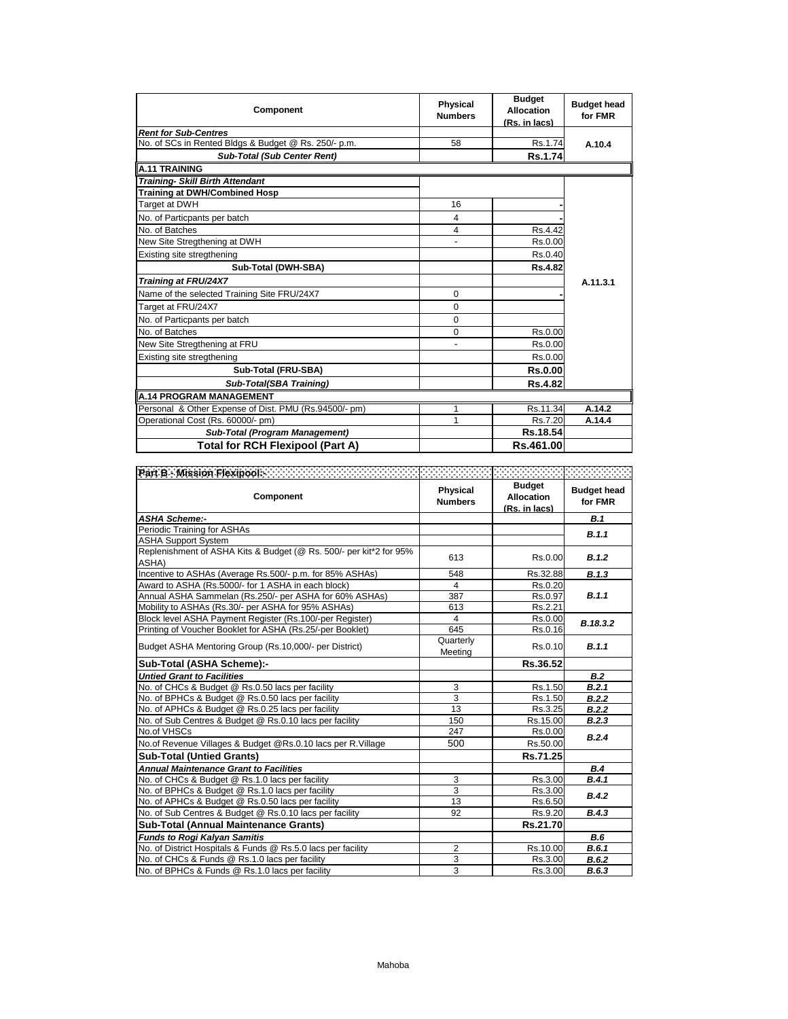| Component                                             | <b>Physical</b><br><b>Numbers</b> | <b>Budget</b><br><b>Allocation</b><br>(Rs. in lacs) | <b>Budget head</b><br>for FMR |
|-------------------------------------------------------|-----------------------------------|-----------------------------------------------------|-------------------------------|
| <b>Rent for Sub-Centres</b>                           |                                   |                                                     |                               |
| No. of SCs in Rented Bldgs & Budget @ Rs. 250/- p.m.  | 58                                | Rs.1.74                                             | A.10.4                        |
| <b>Sub-Total (Sub Center Rent)</b>                    |                                   | <b>Rs.1.74</b>                                      |                               |
| <b>A.11 TRAINING</b>                                  |                                   |                                                     |                               |
| <b>Training- Skill Birth Attendant</b>                |                                   |                                                     |                               |
| <b>Training at DWH/Combined Hosp</b>                  |                                   |                                                     |                               |
| Target at DWH                                         | 16                                |                                                     |                               |
| No. of Particpants per batch                          | 4                                 |                                                     |                               |
| No. of Batches                                        | 4                                 | Rs.4.42                                             |                               |
| New Site Stregthening at DWH                          |                                   | Rs.0.00                                             |                               |
| Existing site stregthening                            |                                   | Rs.0.40                                             |                               |
| Sub-Total (DWH-SBA)                                   |                                   | Rs.4.82                                             |                               |
| Training at FRU/24X7                                  |                                   |                                                     | A.11.3.1                      |
| Name of the selected Training Site FRU/24X7           | $\Omega$                          |                                                     |                               |
| Target at FRU/24X7                                    | $\Omega$                          |                                                     |                               |
| No. of Particpants per batch                          | $\Omega$                          |                                                     |                               |
| No. of Batches                                        | $\Omega$                          | Rs.0.00                                             |                               |
| New Site Stregthening at FRU                          |                                   | Rs.0.00                                             |                               |
| Existing site stregthening                            |                                   | Rs.0.00                                             |                               |
| Sub-Total (FRU-SBA)                                   |                                   | <b>Rs.0.00</b>                                      |                               |
| Sub-Total(SBA Training)                               |                                   | <b>Rs.4.82</b>                                      |                               |
| <b>A.14 PROGRAM MANAGEMENT</b>                        |                                   |                                                     |                               |
| Personal & Other Expense of Dist. PMU (Rs.94500/- pm) | 1                                 | Rs.11.34                                            | A.14.2                        |
| Operational Cost (Rs. 60000/- pm)                     | 1                                 | Rs.7.20                                             | A.14.4                        |
| <b>Sub-Total (Program Management)</b>                 |                                   | Rs.18.54                                            |                               |
| <b>Total for RCH Flexipool (Part A)</b>               |                                   | Rs.461.00                                           |                               |

| Component                                                                   | Physical<br><b>Numbers</b> | <b>Budget</b><br><b>Allocation</b><br>(Rs. in lacs) | <b>Budget head</b><br>for FMR |
|-----------------------------------------------------------------------------|----------------------------|-----------------------------------------------------|-------------------------------|
| <b>ASHA Scheme:-</b>                                                        |                            |                                                     | <b>B.1</b>                    |
| Periodic Training for ASHAs                                                 |                            |                                                     | B.1.1                         |
| <b>ASHA Support System</b>                                                  |                            |                                                     |                               |
| Replenishment of ASHA Kits & Budget (@ Rs. 500/- per kit*2 for 95%<br>ASHA) | 613                        | Rs.0.00                                             | B.1.2                         |
| Incentive to ASHAs (Average Rs.500/- p.m. for 85% ASHAs)                    | 548                        | Rs.32.88                                            | B.1.3                         |
| Award to ASHA (Rs.5000/- for 1 ASHA in each block)                          | 4                          | Rs.0.20                                             |                               |
| Annual ASHA Sammelan (Rs.250/- per ASHA for 60% ASHAs)                      | 387                        | Rs.0.97                                             | B.1.1                         |
| Mobility to ASHAs (Rs.30/- per ASHA for 95% ASHAs)                          | 613                        | Rs.2.21                                             |                               |
| Block level ASHA Payment Register (Rs.100/-per Register)                    | $\overline{4}$             | Rs.0.00                                             | B.18.3.2                      |
| Printing of Voucher Booklet for ASHA (Rs.25/-per Booklet)                   | 645                        | Rs.0.16                                             |                               |
| Budget ASHA Mentoring Group (Rs.10,000/- per District)                      | Quarterly<br>Meeting       | Rs.0.10                                             | B.1.1                         |
| Sub-Total (ASHA Scheme):-                                                   |                            | Rs.36.52                                            |                               |
| <b>Untied Grant to Facilities</b>                                           |                            |                                                     | B.2                           |
| No. of CHCs & Budget @ Rs.0.50 lacs per facility                            | 3                          | Rs.1.50                                             | B.2.1                         |
| No. of BPHCs & Budget @ Rs.0.50 lacs per facility                           | 3                          | Rs.1.50                                             | B.2.2                         |
| No. of APHCs & Budget @ Rs.0.25 lacs per facility                           | 13                         | Rs.3.25                                             | B.2.2                         |
| No. of Sub Centres & Budget @ Rs.0.10 lacs per facility                     | 150                        | Rs.15.00                                            | B.2.3                         |
| No.of VHSCs                                                                 | 247                        | Rs.0.00                                             | B.2.4                         |
| No.of Revenue Villages & Budget @Rs.0.10 lacs per R.Village                 | 500                        | Rs.50.00                                            |                               |
| <b>Sub-Total (Untied Grants)</b>                                            |                            | Rs.71.25                                            |                               |
| <b>Annual Maintenance Grant to Facilities</b>                               |                            |                                                     | B.4                           |
| No. of CHCs & Budget @ Rs.1.0 lacs per facility                             | 3                          | Rs.3.00                                             | B.4.1                         |
| No. of BPHCs & Budget @ Rs.1.0 lacs per facility                            | 3                          | Rs.3.00                                             | B.4.2                         |
| No. of APHCs & Budget @ Rs.0.50 lacs per facility                           | 13                         | Rs.6.50                                             |                               |
| No. of Sub Centres & Budget @ Rs.0.10 lacs per facility                     | 92                         | Rs.9.20                                             | B.4.3                         |
| <b>Sub-Total (Annual Maintenance Grants)</b>                                |                            | Rs.21.70                                            |                               |
| <b>Funds to Rogi Kalyan Samitis</b>                                         |                            |                                                     | B.6                           |
| No. of District Hospitals & Funds @ Rs.5.0 lacs per facility                | $\overline{2}$             | Rs.10.00                                            | B.6.1                         |
| No. of CHCs & Funds @ Rs.1.0 lacs per facility                              | 3                          | Rs.3.00                                             | B.6.2                         |
| No. of BPHCs & Funds @ Rs.1.0 lacs per facility                             | 3                          | Rs.3.00                                             | B.6.3                         |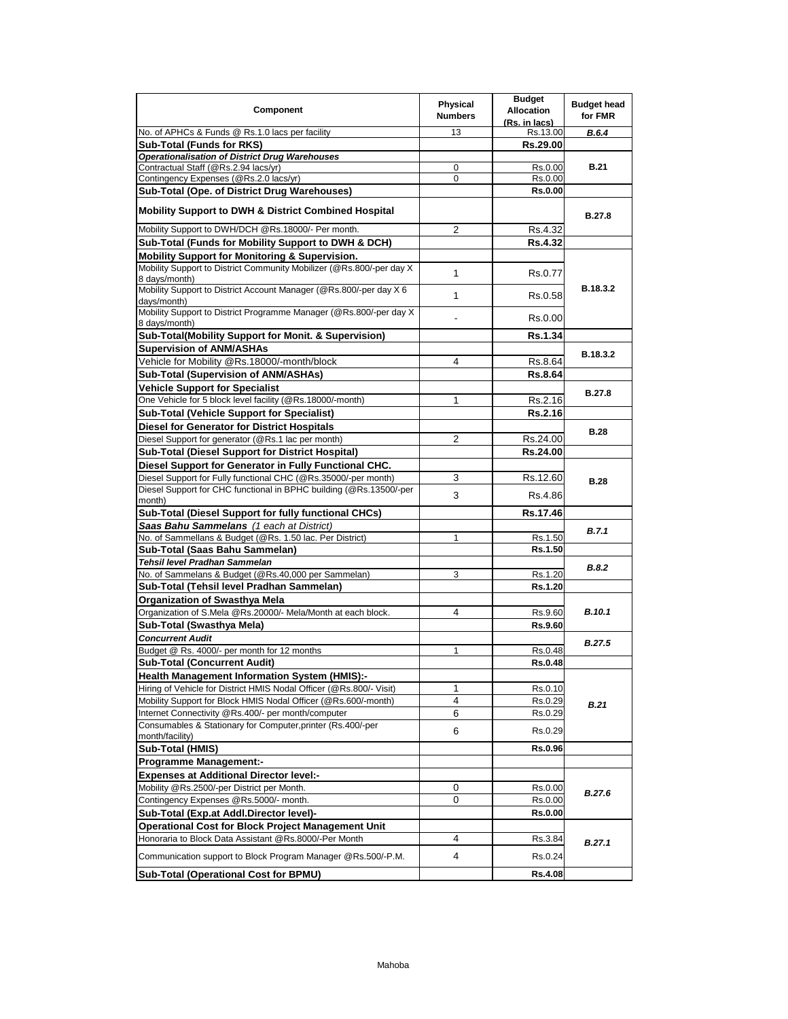| Component                                                                              | Physical<br><b>Numbers</b> | <b>Budget</b><br><b>Allocation</b><br>(Rs. in lacs) | <b>Budget head</b><br>for FMR |
|----------------------------------------------------------------------------------------|----------------------------|-----------------------------------------------------|-------------------------------|
| No. of APHCs & Funds @ Rs.1.0 lacs per facility                                        | 13                         | Rs.13.00                                            | <b>B.6.4</b>                  |
| <b>Sub-Total (Funds for RKS)</b>                                                       |                            | Rs.29.00                                            |                               |
| <b>Operationalisation of District Drug Warehouses</b>                                  |                            |                                                     |                               |
| Contractual Staff (@Rs.2.94 lacs/yr)                                                   | 0                          | Rs.0.00                                             | <b>B.21</b>                   |
| Contingency Expenses (@Rs.2.0 lacs/yr)                                                 | 0                          | Rs.0.00                                             |                               |
| Sub-Total (Ope. of District Drug Warehouses)                                           |                            | <b>Rs.0.00</b>                                      |                               |
| <b>Mobility Support to DWH &amp; District Combined Hospital</b>                        |                            |                                                     | <b>B.27.8</b>                 |
| Mobility Support to DWH/DCH @Rs.18000/- Per month.                                     | 2                          | Rs.4.32                                             |                               |
| Sub-Total (Funds for Mobility Support to DWH & DCH)                                    |                            | <b>Rs.4.32</b>                                      |                               |
| Mobility Support for Monitoring & Supervision.                                         |                            |                                                     |                               |
| Mobility Support to District Community Mobilizer (@Rs.800/-per day X)<br>8 days/month) | 1                          | Rs.0.77                                             |                               |
| Mobility Support to District Account Manager (@Rs.800/-per day X 6<br>days/month)      | 1                          | Rs.0.58                                             | B.18.3.2                      |
| Mobility Support to District Programme Manager (@Rs.800/-per day X)<br>8 days/month)   |                            | Rs.0.00                                             |                               |
| Sub-Total(Mobility Support for Monit. & Supervision)                                   |                            | Rs.1.34                                             |                               |
| <b>Supervision of ANM/ASHAs</b>                                                        |                            |                                                     | B.18.3.2                      |
| Vehicle for Mobility @Rs.18000/-month/block                                            | 4                          | Rs.8.64                                             |                               |
| Sub-Total (Supervision of ANM/ASHAs)                                                   |                            | <b>Rs.8.64</b>                                      |                               |
| <b>Vehicle Support for Specialist</b>                                                  |                            |                                                     |                               |
| One Vehicle for 5 block level facility (@Rs.18000/-month)                              | 1                          | Rs.2.16                                             | <b>B.27.8</b>                 |
| <b>Sub-Total (Vehicle Support for Specialist)</b>                                      |                            | <b>Rs.2.16</b>                                      |                               |
| <b>Diesel for Generator for District Hospitals</b>                                     |                            |                                                     |                               |
| Diesel Support for generator (@Rs.1 lac per month)                                     | $\overline{2}$             | Rs.24.00                                            | <b>B.28</b>                   |
| <b>Sub-Total (Diesel Support for District Hospital)</b>                                |                            | Rs.24.00                                            |                               |
| Diesel Support for Generator in Fully Functional CHC.                                  |                            |                                                     |                               |
| Diesel Support for Fully functional CHC (@Rs.35000/-per month)                         | 3                          | Rs.12.60                                            |                               |
| Diesel Support for CHC functional in BPHC building (@Rs.13500/-per                     |                            |                                                     | <b>B.28</b>                   |
| month)                                                                                 | 3                          | Rs.4.86                                             |                               |
| Sub-Total (Diesel Support for fully functional CHCs)                                   |                            | Rs.17.46                                            |                               |
| Saas Bahu Sammelans (1 each at District)                                               |                            |                                                     | B.7.1                         |
| No. of Sammellans & Budget (@Rs. 1.50 lac. Per District)                               | 1                          | Rs.1.50                                             |                               |
| Sub-Total (Saas Bahu Sammelan)                                                         |                            | Rs.1.50                                             |                               |
| Tehsil level Pradhan Sammelan                                                          |                            |                                                     | B.8.2                         |
| No. of Sammelans & Budget (@Rs.40,000 per Sammelan)                                    | 3                          | Rs.1.20                                             |                               |
| Sub-Total (Tehsil level Pradhan Sammelan)                                              |                            | Rs.1.20                                             |                               |
| <b>Organization of Swasthya Mela</b>                                                   |                            |                                                     |                               |
| Organization of S.Mela @Rs.20000/- Mela/Month at each block.                           | 4                          | Rs.9.60                                             | <b>B.10.1</b>                 |
| Sub-Total (Swasthya Mela)                                                              |                            | Rs.9.60                                             |                               |
| <b>Concurrent Audit</b>                                                                |                            |                                                     | <b>B.27.5</b>                 |
| Budget @ Rs. 4000/- per month for 12 months                                            | 1                          | Rs.0.48                                             |                               |
| <b>Sub-Total (Concurrent Audit)</b>                                                    |                            | <b>Rs.0.48</b>                                      |                               |
| <b>Health Management Information System (HMIS):-</b>                                   |                            |                                                     |                               |
| Hiring of Vehicle for District HMIS Nodal Officer (@Rs.800/- Visit)                    | 1                          | Rs.0.10                                             |                               |
| Mobility Support for Block HMIS Nodal Officer (@Rs.600/-month)                         | 4                          | Rs.0.29                                             | <b>B.21</b>                   |
| Internet Connectivity @Rs.400/- per month/computer                                     | 6                          | Rs.0.29                                             |                               |
| Consumables & Stationary for Computer, printer (Rs.400/-per<br>month/facility)         | 6                          | Rs.0.29                                             |                               |
| Sub-Total (HMIS)                                                                       |                            | <b>Rs.0.96</b>                                      |                               |
| <b>Programme Management:-</b>                                                          |                            |                                                     |                               |
| <b>Expenses at Additional Director level:-</b>                                         |                            |                                                     |                               |
| Mobility @Rs.2500/-per District per Month.                                             | 0                          | Rs.0.00                                             | <b>B.27.6</b>                 |
| Contingency Expenses @Rs.5000/- month.                                                 | 0                          | Rs.0.00                                             |                               |
| Sub-Total (Exp.at Addl.Director level)-                                                |                            | Rs.0.00                                             |                               |
| <b>Operational Cost for Block Project Management Unit</b>                              |                            |                                                     |                               |
| Honoraria to Block Data Assistant @Rs.8000/-Per Month                                  | 4                          | Rs.3.84                                             | <b>B.27.1</b>                 |
| Communication support to Block Program Manager @Rs.500/-P.M.                           | 4                          | Rs.0.24                                             |                               |
| Sub-Total (Operational Cost for BPMU)                                                  |                            | <b>Rs.4.08</b>                                      |                               |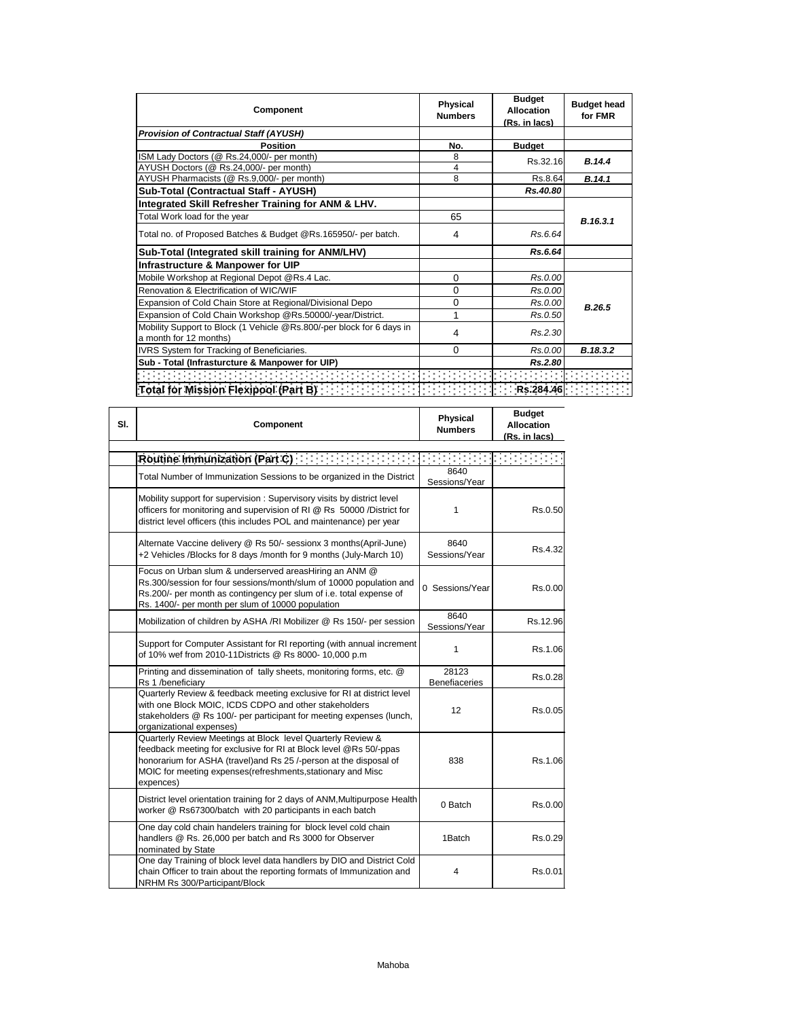| Component                                                                                       | <b>Physical</b><br><b>Numbers</b> | <b>Budget</b><br>Allocation<br>(Rs. in lacs) | <b>Budget head</b><br>for FMR |
|-------------------------------------------------------------------------------------------------|-----------------------------------|----------------------------------------------|-------------------------------|
| <b>Provision of Contractual Staff (AYUSH)</b>                                                   |                                   |                                              |                               |
| <b>Position</b>                                                                                 | No.                               | <b>Budget</b>                                |                               |
| ISM Lady Doctors (@ Rs.24,000/- per month)                                                      | 8                                 | Rs.32.16                                     | B.14.4                        |
| AYUSH Doctors (@ Rs.24,000/- per month)                                                         | 4                                 |                                              |                               |
| AYUSH Pharmacists (@ Rs.9,000/- per month)                                                      | 8                                 | Rs.8.64                                      | B.14.1                        |
| Sub-Total (Contractual Staff - AYUSH)                                                           |                                   | Rs.40.80                                     |                               |
| Integrated Skill Refresher Training for ANM & LHV.                                              |                                   |                                              |                               |
| Total Work load for the year                                                                    | 65                                |                                              | B.16.3.1                      |
| Total no. of Proposed Batches & Budget @Rs.165950/- per batch.                                  | 4                                 | Rs.6.64                                      |                               |
| Sub-Total (Integrated skill training for ANM/LHV)                                               |                                   | Rs.6.64                                      |                               |
| Infrastructure & Manpower for UIP                                                               |                                   |                                              |                               |
| Mobile Workshop at Regional Depot @Rs.4 Lac.                                                    | $\Omega$                          | Rs.0.00                                      |                               |
| Renovation & Electrification of WIC/WIF                                                         | $\Omega$                          | Rs.0.00                                      |                               |
| Expansion of Cold Chain Store at Regional/Divisional Depo                                       | 0                                 | Rs.0.00                                      | B.26.5                        |
| Expansion of Cold Chain Workshop @Rs.50000/-year/District.                                      | 1                                 | Rs.0.50                                      |                               |
| Mobility Support to Block (1 Vehicle @Rs.800/-per block for 6 days in<br>a month for 12 months) | 4                                 | Rs.2.30                                      |                               |
| IVRS System for Tracking of Beneficiaries.                                                      | $\Omega$                          | Rs.0.00                                      | B.18.3.2                      |
| Sub - Total (Infrasturcture & Manpower for UIP)                                                 |                                   | Rs.2.80                                      |                               |
|                                                                                                 |                                   |                                              |                               |
| Total for Mission Flexipool (Part B) [1999]                                                     |                                   | Rs.284.46                                    |                               |

| SI. | Component                                                                                                                                                                                                                                                                          | <b>Physical</b><br><b>Numbers</b> | <b>Budget</b><br><b>Allocation</b><br>(Rs. in lacs) |
|-----|------------------------------------------------------------------------------------------------------------------------------------------------------------------------------------------------------------------------------------------------------------------------------------|-----------------------------------|-----------------------------------------------------|
|     | Routine Immunization (Part C)                                                                                                                                                                                                                                                      |                                   |                                                     |
|     | Total Number of Immunization Sessions to be organized in the District                                                                                                                                                                                                              | 8640<br>Sessions/Year             |                                                     |
|     | Mobility support for supervision: Supervisory visits by district level<br>officers for monitoring and supervision of RI @ Rs 50000 /District for<br>district level officers (this includes POL and maintenance) per year                                                           | 1                                 | Rs.0.50                                             |
|     | Alternate Vaccine delivery @ Rs 50/- sessionx 3 months(April-June)<br>+2 Vehicles /Blocks for 8 days /month for 9 months (July-March 10)                                                                                                                                           | 8640<br>Sessions/Year             | Rs.4.32                                             |
|     | Focus on Urban slum & underserved areasHiring an ANM @<br>Rs.300/session for four sessions/month/slum of 10000 population and<br>Rs.200/- per month as contingency per slum of i.e. total expense of<br>Rs. 1400/- per month per slum of 10000 population                          | 0 Sessions/Year                   | Rs.0.00                                             |
|     | Mobilization of children by ASHA /RI Mobilizer @ Rs 150/- per session                                                                                                                                                                                                              | 8640<br>Sessions/Year             | Rs.12.96                                            |
|     | Support for Computer Assistant for RI reporting (with annual increment<br>of 10% wef from 2010-11Districts @ Rs 8000- 10,000 p.m                                                                                                                                                   | 1                                 | Rs.1.06                                             |
|     | Printing and dissemination of tally sheets, monitoring forms, etc. @<br>Rs 1 /beneficiary                                                                                                                                                                                          | 28123<br><b>Benefiaceries</b>     | Rs.0.28                                             |
|     | Quarterly Review & feedback meeting exclusive for RI at district level<br>with one Block MOIC, ICDS CDPO and other stakeholders<br>stakeholders @ Rs 100/- per participant for meeting expenses (lunch,<br>organizational expenses)                                                | 12                                | Rs.0.05                                             |
|     | Quarterly Review Meetings at Block level Quarterly Review &<br>feedback meeting for exclusive for RI at Block level @Rs 50/-ppas<br>honorarium for ASHA (travel)and Rs 25 /-person at the disposal of<br>MOIC for meeting expenses (refreshments, stationary and Misc<br>expences) | 838                               | Rs.1.06                                             |
|     | District level orientation training for 2 days of ANM, Multipurpose Health<br>worker @ Rs67300/batch with 20 participants in each batch                                                                                                                                            | 0 Batch                           | Rs.0.00                                             |
|     | One day cold chain handelers training for block level cold chain<br>handlers @ Rs. 26,000 per batch and Rs 3000 for Observer<br>nominated by State                                                                                                                                 | 1Batch                            | Rs.0.29                                             |
|     | One day Training of block level data handlers by DIO and District Cold<br>chain Officer to train about the reporting formats of Immunization and<br>NRHM Rs 300/Participant/Block                                                                                                  | 4                                 | Rs.0.01                                             |

 $\mathbf{r}$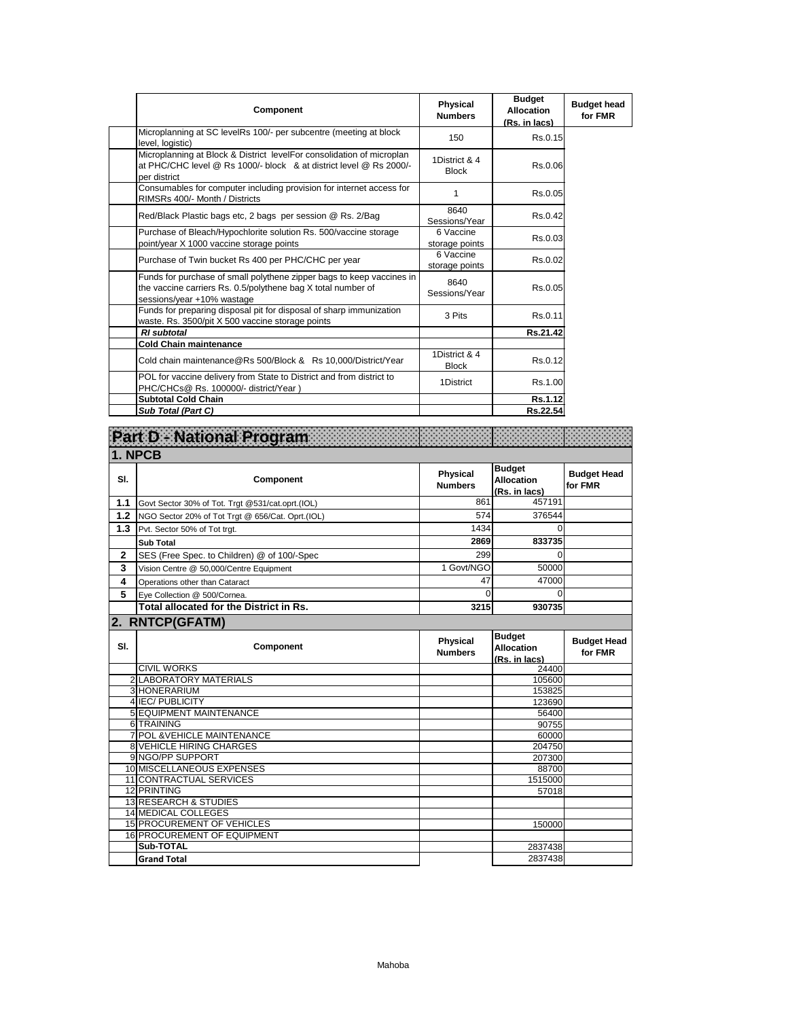| <b>Component</b>                                                                                                                                                    | Physical<br><b>Numbers</b>    | <b>Budget</b><br><b>Allocation</b><br>(Rs. in lacs) | <b>Budget head</b><br>for FMR |
|---------------------------------------------------------------------------------------------------------------------------------------------------------------------|-------------------------------|-----------------------------------------------------|-------------------------------|
| Microplanning at SC levelRs 100/- per subcentre (meeting at block<br>level, logistic)                                                                               | 150                           | Rs.0.15                                             |                               |
| Microplanning at Block & District levelFor consolidation of microplan<br>at PHC/CHC level @ Rs 1000/- block & at district level @ Rs 2000/-<br>per district         | 1District & 4<br><b>Block</b> | Rs.0.06                                             |                               |
| Consumables for computer including provision for internet access for<br>RIMSRs 400/- Month / Districts                                                              | 1                             | Rs.0.05                                             |                               |
| Red/Black Plastic bags etc, 2 bags per session @ Rs. 2/Bag                                                                                                          | 8640<br>Sessions/Year         | Rs.0.42                                             |                               |
| Purchase of Bleach/Hypochlorite solution Rs. 500/vaccine storage<br>point/year X 1000 vaccine storage points                                                        | 6 Vaccine<br>storage points   | Rs.0.03                                             |                               |
| Purchase of Twin bucket Rs 400 per PHC/CHC per year                                                                                                                 | 6 Vaccine<br>storage points   | Rs.0.02                                             |                               |
| Funds for purchase of small polythene zipper bags to keep vaccines in<br>the vaccine carriers Rs. 0.5/polythene bag X total number of<br>sessions/year +10% wastage | 8640<br>Sessions/Year         | Rs.0.05                                             |                               |
| Funds for preparing disposal pit for disposal of sharp immunization<br>waste. Rs. 3500/pit X 500 vaccine storage points                                             | 3 Pits                        | Rs.0.11                                             |                               |
| <b>RI</b> subtotal                                                                                                                                                  |                               | Rs.21.42                                            |                               |
| <b>Cold Chain maintenance</b>                                                                                                                                       |                               |                                                     |                               |
| Cold chain maintenance@Rs 500/Block & Rs 10,000/District/Year                                                                                                       | 1District & 4<br><b>Block</b> | Rs.0.12                                             |                               |
| POL for vaccine delivery from State to District and from district to<br>PHC/CHCs@ Rs. 100000/- district/Year)                                                       | 1District                     | Rs.1.00                                             |                               |
| <b>Subtotal Cold Chain</b>                                                                                                                                          |                               | Rs.1.12                                             |                               |
| Sub Total (Part C)                                                                                                                                                  |                               | Rs.22.54                                            |                               |

|              | Part D - National Program                        |                                   |                                                     |                               |
|--------------|--------------------------------------------------|-----------------------------------|-----------------------------------------------------|-------------------------------|
|              | 1. NPCB                                          |                                   |                                                     |                               |
| SI.          | Component                                        | Physical<br><b>Numbers</b>        | <b>Budget</b><br><b>Allocation</b><br>(Rs. in lacs) | <b>Budget Head</b><br>for FMR |
| 1.1          | Govt Sector 30% of Tot. Trgt @531/cat.oprt.(IOL) | 861                               | 457191                                              |                               |
| 1.2          | NGO Sector 20% of Tot Trgt @ 656/Cat. Oprt.(IOL) | 574                               | 376544                                              |                               |
| 1.3          | Pvt. Sector 50% of Tot trgt.                     | 1434                              | $\Omega$                                            |                               |
|              | <b>Sub Total</b>                                 | 2869                              | 833735                                              |                               |
| $\mathbf{2}$ | SES (Free Spec. to Children) @ of 100/-Spec      | 299                               | $\Omega$                                            |                               |
| 3            | Vision Centre @ 50,000/Centre Equipment          | 1 Govt/NGO                        | 50000                                               |                               |
| 4            | Operations other than Cataract                   | 47                                | 47000                                               |                               |
| 5            | Eye Collection @ 500/Cornea.                     | $\Omega$                          | $\Omega$                                            |                               |
|              | Total allocated for the District in Rs.          | 3215                              | 930735                                              |                               |
|              | 2. RNTCP(GFATM)                                  |                                   |                                                     |                               |
| SI.          | Component                                        | <b>Physical</b><br><b>Numbers</b> | <b>Budget</b><br><b>Allocation</b><br>(Rs. in lacs) | <b>Budget Head</b><br>for FMR |
|              | <b>CIVIL WORKS</b>                               |                                   | 24400                                               |                               |
|              | 2 LABORATORY MATERIALS                           |                                   | 105600                                              |                               |
|              | 3 HONERARIUM<br>4 IEC/PUBLICITY                  |                                   | 153825                                              |                               |
|              | <b>5 EQUIPMENT MAINTENANCE</b>                   |                                   | 123690<br>56400                                     |                               |
|              | 6 TRAINING                                       |                                   | 90755                                               |                               |
|              | <b>7 POL &amp; VEHICLE MAINTENANCE</b>           |                                   | 60000                                               |                               |
|              | <b>8 VEHICLE HIRING CHARGES</b>                  |                                   | 204750                                              |                               |
|              | 9 NGO/PP SUPPORT                                 |                                   | 207300                                              |                               |
|              | 10 MISCELLANEOUS EXPENSES                        |                                   | 88700                                               |                               |
|              | 11 CONTRACTUAL SERVICES                          |                                   | 1515000                                             |                               |
|              | 12 PRINTING                                      |                                   | 57018                                               |                               |
|              | 13 RESEARCH & STUDIES                            |                                   |                                                     |                               |
|              | 14 MEDICAL COLLEGES                              |                                   |                                                     |                               |
|              | <b>15 PROCUREMENT OF VEHICLES</b>                |                                   | 150000                                              |                               |
|              | <b>16 PROCUREMENT OF EQUIPMENT</b>               |                                   |                                                     |                               |
|              | Sub-TOTAL<br><b>Grand Total</b>                  |                                   | 2837438                                             |                               |
|              |                                                  |                                   | 2837438                                             |                               |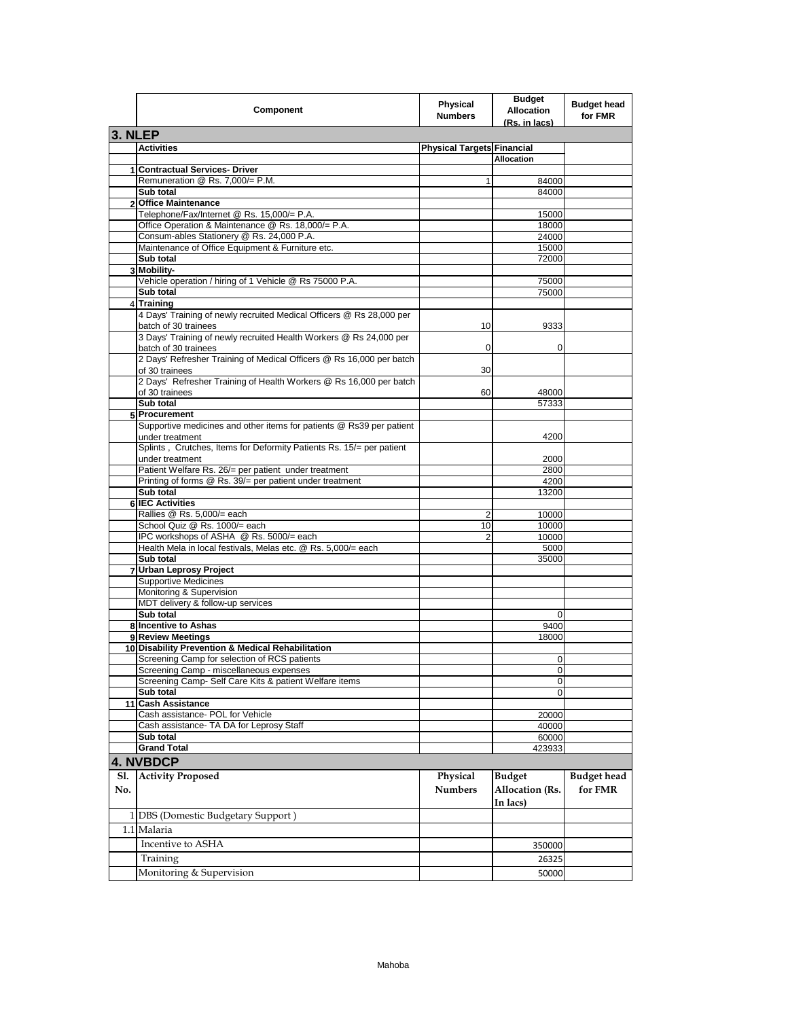|     | Component                                                                               | Physical<br><b>Numbers</b>        | <b>Budget</b><br><b>Allocation</b><br>(Rs. in lacs) | <b>Budget head</b><br>for FMR |
|-----|-----------------------------------------------------------------------------------------|-----------------------------------|-----------------------------------------------------|-------------------------------|
|     | 3. NLEP                                                                                 |                                   |                                                     |                               |
|     | <b>Activities</b>                                                                       | <b>Physical Targets Financial</b> |                                                     |                               |
|     |                                                                                         |                                   | <b>Allocation</b>                                   |                               |
|     | 1 Contractual Services- Driver                                                          |                                   |                                                     |                               |
|     | Remuneration @ Rs. 7,000/= P.M.                                                         | 1                                 | 84000                                               |                               |
|     | Sub total                                                                               |                                   | 84000                                               |                               |
|     | 2 Office Maintenance                                                                    |                                   |                                                     |                               |
|     | Telephone/Fax/Internet @ Rs. 15,000/= P.A.                                              |                                   | 15000                                               |                               |
|     | Office Operation & Maintenance @ Rs. 18,000/= P.A.                                      |                                   | 18000                                               |                               |
|     | Consum-ables Stationery @ Rs. 24,000 P.A.                                               |                                   | 24000                                               |                               |
|     | Maintenance of Office Equipment & Furniture etc.                                        |                                   | 15000                                               |                               |
|     | Sub total                                                                               |                                   | 72000                                               |                               |
|     | 3 Mobility-                                                                             |                                   |                                                     |                               |
|     | Vehicle operation / hiring of 1 Vehicle @ Rs 75000 P.A.                                 |                                   | 75000                                               |                               |
|     | Sub total                                                                               |                                   | 75000                                               |                               |
|     | 4 Training                                                                              |                                   |                                                     |                               |
|     | 4 Days' Training of newly recruited Medical Officers @ Rs 28,000 per                    |                                   |                                                     |                               |
|     | batch of 30 trainees                                                                    | 10                                | 9333                                                |                               |
|     | 3 Days' Training of newly recruited Health Workers @ Rs 24,000 per                      |                                   |                                                     |                               |
|     | batch of 30 trainees                                                                    | 0                                 | 0                                                   |                               |
|     | 2 Days' Refresher Training of Medical Officers @ Rs 16,000 per batch                    |                                   |                                                     |                               |
|     | of 30 trainees<br>2 Days' Refresher Training of Health Workers @ Rs 16,000 per batch    | 30                                |                                                     |                               |
|     |                                                                                         |                                   |                                                     |                               |
|     | of 30 trainees<br>Sub total                                                             | 60                                | 48000<br>57333                                      |                               |
|     | 5 Procurement                                                                           |                                   |                                                     |                               |
|     |                                                                                         |                                   |                                                     |                               |
|     | Supportive medicines and other items for patients @ Rs39 per patient                    |                                   | 4200                                                |                               |
|     | under treatment<br>Splints, Crutches, Items for Deformity Patients Rs. 15/= per patient |                                   |                                                     |                               |
|     | under treatment                                                                         |                                   | 2000                                                |                               |
|     | Patient Welfare Rs. 26/= per patient under treatment                                    |                                   | 2800                                                |                               |
|     | Printing of forms @ Rs. 39/= per patient under treatment                                |                                   | 4200                                                |                               |
|     | Sub total                                                                               |                                   | 13200                                               |                               |
|     | 6 IEC Activities                                                                        |                                   |                                                     |                               |
|     | Rallies @ Rs. 5,000/= each                                                              | 2                                 | 10000                                               |                               |
|     | School Quiz @ Rs. 1000/= each                                                           | 10                                | 10000                                               |                               |
|     | IPC workshops of ASHA @ Rs. 5000/= each                                                 | 2                                 | 10000                                               |                               |
|     | Health Mela in local festivals, Melas etc. @ Rs. 5,000/= each                           |                                   | 5000                                                |                               |
|     | Sub total                                                                               |                                   | 35000                                               |                               |
|     | <b>Urban Leprosy Project</b>                                                            |                                   |                                                     |                               |
|     | <b>Supportive Medicines</b>                                                             |                                   |                                                     |                               |
|     | Monitoring & Supervision                                                                |                                   |                                                     |                               |
|     | MDT delivery & follow-up services                                                       |                                   |                                                     |                               |
|     | Sub total                                                                               |                                   | 0                                                   |                               |
|     | 8 Incentive to Ashas                                                                    |                                   | 9400                                                |                               |
|     | 9 Review Meetings                                                                       |                                   | 18000                                               |                               |
|     | 10 Disability Prevention & Medical Rehabilitation                                       |                                   |                                                     |                               |
|     | Screening Camp for selection of RCS patients                                            |                                   | $\Omega$                                            |                               |
|     | Screening Camp - miscellaneous expenses                                                 |                                   | 0                                                   |                               |
|     | Screening Camp- Self Care Kits & patient Welfare items                                  |                                   | $\mathbf 0$                                         |                               |
|     | Sub total                                                                               |                                   | 0                                                   |                               |
|     | 11 Cash Assistance                                                                      |                                   |                                                     |                               |
|     | Cash assistance- POL for Vehicle                                                        |                                   | 20000                                               |                               |
|     | Cash assistance- TA DA for Leprosy Staff                                                |                                   | 40000                                               |                               |
|     | Sub total                                                                               |                                   | 60000                                               |                               |
|     | <b>Grand Total</b>                                                                      |                                   | 423933                                              |                               |
|     | 4. NVBDCP                                                                               |                                   |                                                     |                               |
|     |                                                                                         |                                   |                                                     |                               |
| Sl. | <b>Activity Proposed</b>                                                                | Physical                          | <b>Budget</b>                                       | <b>Budget</b> head            |
| No. |                                                                                         | <b>Numbers</b>                    | Allocation (Rs.                                     | for FMR                       |
|     |                                                                                         |                                   | In lacs)                                            |                               |
|     | 1 DBS (Domestic Budgetary Support)                                                      |                                   |                                                     |                               |
|     | 1.1 Malaria                                                                             |                                   |                                                     |                               |
|     |                                                                                         |                                   |                                                     |                               |
|     | Incentive to ASHA                                                                       |                                   | 350000                                              |                               |
|     | Training                                                                                |                                   | 26325                                               |                               |
|     | Monitoring & Supervision                                                                |                                   | 50000                                               |                               |
|     |                                                                                         |                                   |                                                     |                               |